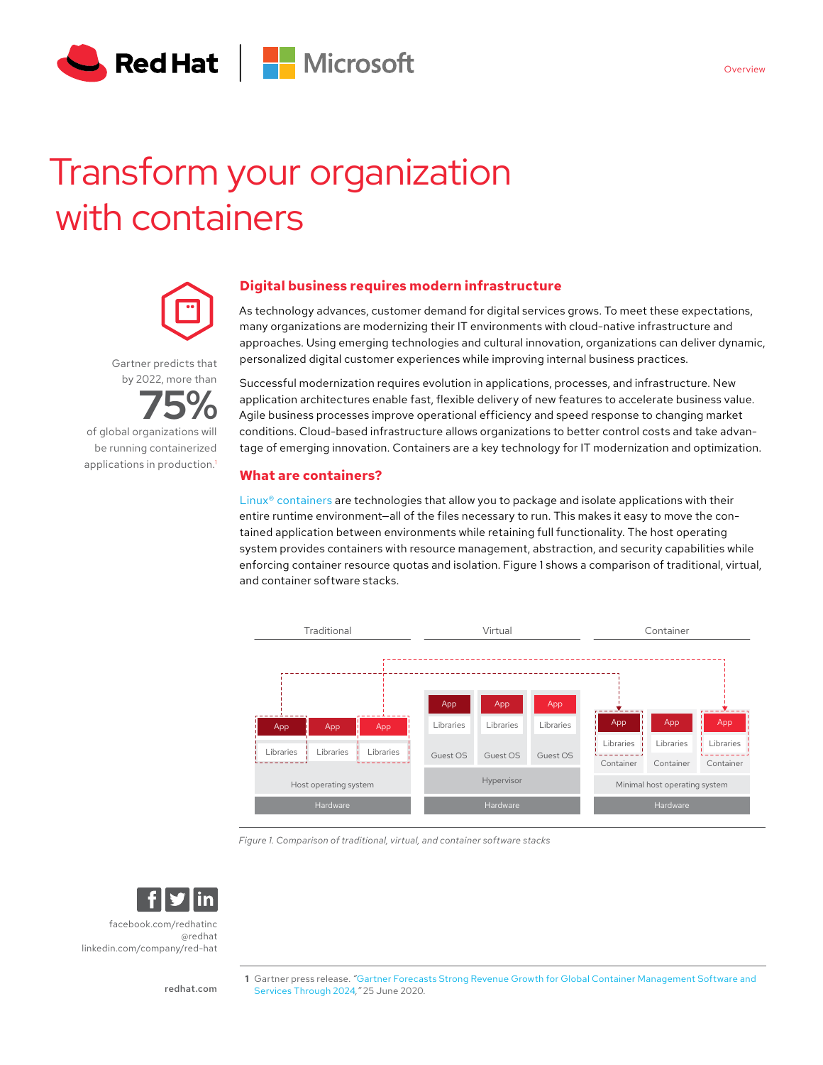

# Transform your organization with containers



Gartner predicts that by 2022, more than

**75%** of global organizations will be running containerized applications in production.<sup>1</sup>

# **Digital business requires modern infrastructure**

As technology advances, customer demand for digital services grows. To meet these expectations, many organizations are modernizing their IT environments with cloud-native infrastructure and approaches. Using emerging technologies and cultural innovation, organizations can deliver dynamic, personalized digital customer experiences while improving internal business practices.

Successful modernization requires evolution in applications, processes, and infrastructure. New application architectures enable fast, flexible delivery of new features to accelerate business value. Agile business processes improve operational efficiency and speed response to changing market conditions. Cloud-based infrastructure allows organizations to better control costs and take advantage of emerging innovation. Containers are a key technology for IT modernization and optimization.

# **What are containers?**

[Linux® containers](https://www.redhat.com/en/topics/containers/whats-a-linux-container) are technologies that allow you to package and isolate applications with their entire runtime environment—all of the files necessary to run. This makes it easy to move the contained application between environments while retaining full functionality. The host operating system provides containers with resource management, abstraction, and security capabilities while enforcing container resource quotas and isolation. Figure 1 shows a comparison of traditional, virtual, and container software stacks.



*Figure 1. Comparison of traditional, virtual, and container software stacks*



[facebook.com/redhatinc](http://facebook.com/redhatinc

) [@redhat](https://twitter.com/redhatnews) [linkedin.com/company/red-hat](http://linkedin.com/company/red-hat
)

[redhat.com](http://redhat.com)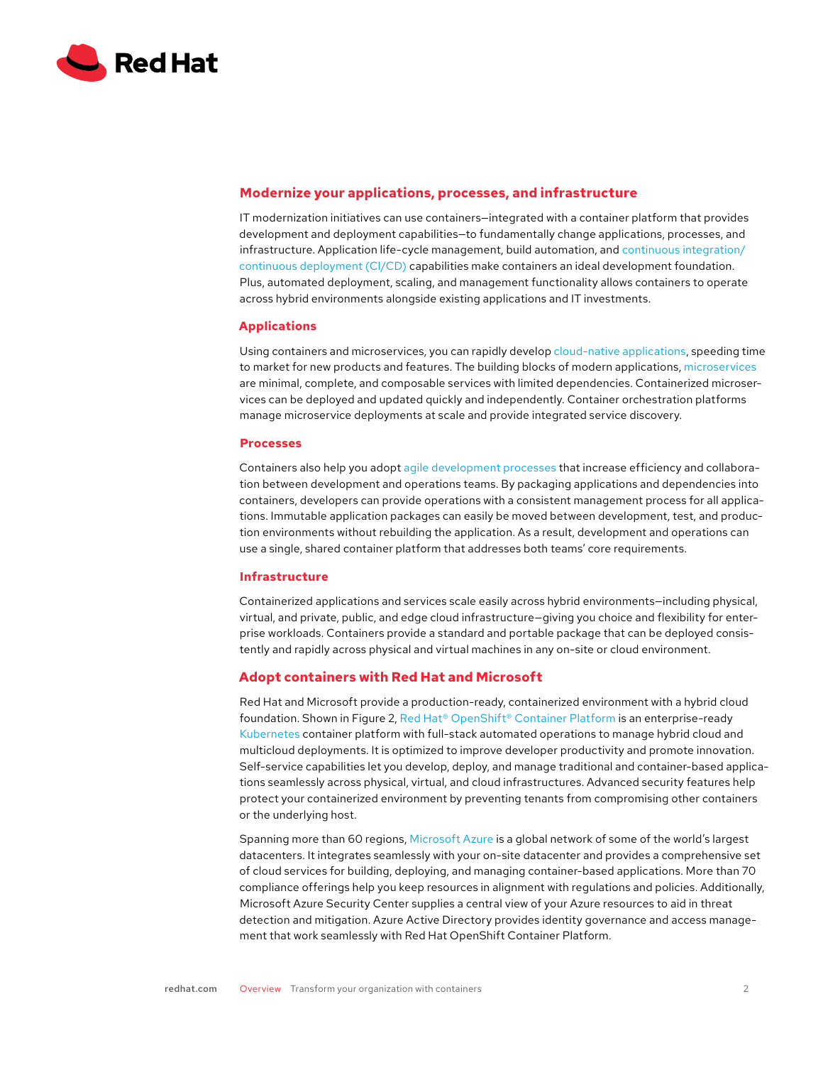

## **Modernize your applications, processes, and infrastructure**

IT modernization initiatives can use containers—integrated with a container platform that provides development and deployment capabilities—to fundamentally change applications, processes, and infrastructure. Application life-cycle management, build automation, and [continuous integration/](https://www.redhat.com/en/topics/devops/what-is-ci-cd) [continuous deployment \(CI/CD\)](https://www.redhat.com/en/topics/devops/what-is-ci-cd) capabilities make containers an ideal development foundation. Plus, automated deployment, scaling, and management functionality allows containers to operate across hybrid environments alongside existing applications and IT investments.

#### **Applications**

Using containers and microservices, you can rapidly develop [cloud-native applications,](https://www.redhat.com/en/topics/cloud-native-apps) speeding time to market for new products and features. The building blocks of modern applications, [microservices](https://www.redhat.com/en/topics/microservices) are minimal, complete, and composable services with limited dependencies. Containerized microservices can be deployed and updated quickly and independently. Container orchestration platforms manage microservice deployments at scale and provide integrated service discovery.

#### **Processes**

Containers also help you adopt [agile development processes](https://www.redhat.com/en/topics/devops) that increase efficiency and collaboration between development and operations teams. By packaging applications and dependencies into containers, developers can provide operations with a consistent management process for all applications. Immutable application packages can easily be moved between development, test, and production environments without rebuilding the application. As a result, development and operations can use a single, shared container platform that addresses both teams' core requirements.

#### **Infrastructure**

Containerized applications and services scale easily across hybrid environments—including physical, virtual, and private, public, and edge cloud infrastructure—giving you choice and flexibility for enterprise workloads. Containers provide a standard and portable package that can be deployed consistently and rapidly across physical and virtual machines in any on-site or cloud environment.

### **Adopt containers with Red Hat and Microsoft**

Red Hat and Microsoft provide a production-ready, containerized environment with a hybrid cloud foundation. Shown in Figure 2, [Red Hat® OpenShift® Container Platform](https://www.redhat.com/en/technologies/cloud-computing/openshift) is an enterprise-ready [Kubernetes](https://www.redhat.com/en/topics/containers/what-is-kubernetes) container platform with full-stack automated operations to manage hybrid cloud and multicloud deployments. It is optimized to improve developer productivity and promote innovation. Self-service capabilities let you develop, deploy, and manage traditional and container-based applications seamlessly across physical, virtual, and cloud infrastructures. Advanced security features help protect your containerized environment by preventing tenants from compromising other containers or the underlying host.

Spanning more than 60 regions, [Microsoft Azure](https://azure.microsoft.com/) is a global network of some of the world's largest datacenters. It integrates seamlessly with your on-site datacenter and provides a comprehensive set of cloud services for building, deploying, and managing container-based applications. More than 70 compliance offerings help you keep resources in alignment with regulations and policies. Additionally, Microsoft Azure Security Center supplies a central view of your Azure resources to aid in threat detection and mitigation. Azure Active Directory provides identity governance and access management that work seamlessly with Red Hat OpenShift Container Platform.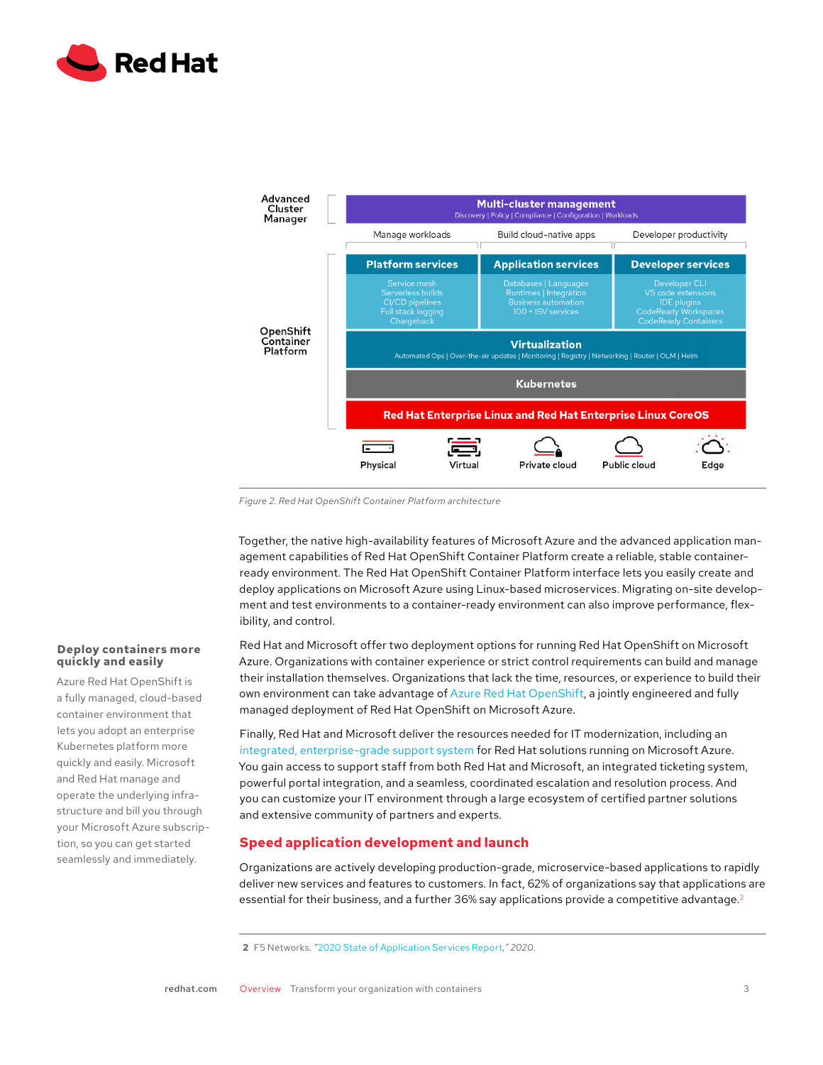



*Figure 2. Red Hat OpenShift Container Platform architecture*

Together, the native high-availability features of Microsoft Azure and the advanced application management capabilities of Red Hat OpenShift Container Platform create a reliable, stable containerready environment. The Red Hat OpenShift Container Platform interface lets you easily create and deploy applications on Microsoft Azure using Linux-based microservices. Migrating on-site development and test environments to a container-ready environment can also improve performance, flexibility, and control.

Red Hat and Microsoft offer two deployment options for running Red Hat OpenShift on Microsoft Azure. Organizations with container experience or strict control requirements can build and manage their installation themselves. Organizations that lack the time, resources, or experience to build their own environment can take advantage of [Azure Red Hat OpenShift,](https://azure.microsoft.com/en-us/services/openshift/) a jointly engineered and fully managed deployment of Red Hat OpenShift on Microsoft Azure.

Finally, Red Hat and Microsoft deliver the resources needed for IT modernization, including an [integrated, enterprise-grade support system](https://access.redhat.com/public-cloud/microsoft-azure) for Red Hat solutions running on Microsoft Azure. You gain access to support staff from both Red Hat and Microsoft, an integrated ticketing system, powerful portal integration, and a seamless, coordinated escalation and resolution process. And you can customize your IT environment through a large ecosystem of certified partner solutions and extensive community of partners and experts.

## **Speed application development and launch**

Organizations are actively developing production-grade, microservice-based applications to rapidly deliver new services and features to customers. In fact, 62% of organizations say that applications are essential for their business, and a further 36% say applications provide a competitive advantage.<sup>2</sup>

#### **Deploy containers more quickly and easily**

Azure Red Hat OpenShift is a fully managed, cloud-based container environment that lets you adopt an enterprise Kubernetes platform more quickly and easily. Microsoft and Red Hat manage and operate the underlying infrastructure and bill you through your Microsoft Azure subscription, so you can get started seamlessly and immediately.

**<sup>2</sup>** F5 Networks*. "*[2020 State of Application Services Report](https://www.f5.com/state-of-application-services-report)*," 2020.*